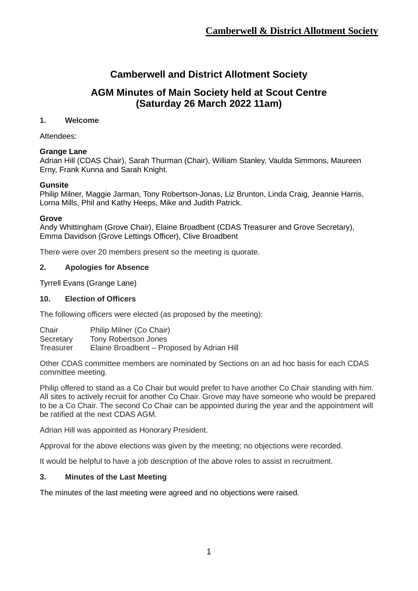# **Camberwell and District Allotment Society**

## **AGM Minutes of Main Society held at Scout Centre (Saturday 26 March 2022 11am)**

## **1. Welcome**

Attendees:

## **Grange Lane**

Adrian Hill (CDAS Chair), Sarah Thurman (Chair), William Stanley, Vaulda Simmons, Maureen Erny, Frank Kunna and Sarah Knight.

## **Gunsite**

Philip Milner, Maggie Jarman, Tony Robertson-Jonas, Liz Brunton, Linda Craig, Jeannie Harris, Lorna Mills, Phil and Kathy Heeps, Mike and Judith Patrick.

#### **Grove**

Andy Whittingham (Grove Chair), Elaine Broadbent (CDAS Treasurer and Grove Secretary), Emma Davidson (Grove Lettings Officer), Clive Broadbent

There were over 20 members present so the meeting is quorate.

## **2. Apologies for Absence**

Tyrrell Evans (Grange Lane)

#### **10. Election of Officers**

The following officers were elected (as proposed by the meeting):

| Chair     | Philip Milner (Co Chair)                   |
|-----------|--------------------------------------------|
| Secretary | Tony Robertson Jones                       |
| Treasurer | Elaine Broadbent – Proposed by Adrian Hill |

Other CDAS committee members are nominated by Sections on an ad hoc basis for each CDAS committee meeting.

Philip offered to stand as a Co Chair but would prefer to have another Co Chair standing with him. All sites to actively recruit for another Co Chair. Grove may have someone who would be prepared to be a Co Chair. The second Co Chair can be appointed during the year and the appointment will be ratified at the next CDAS AGM.

Adrian Hill was appointed as Honorary President.

Approval for the above elections was given by the meeting; no objections were recorded.

It would be helpful to have a job description of the above roles to assist in recruitment.

#### **3. Minutes of the Last Meeting**

The minutes of the last meeting were agreed and no objections were raised.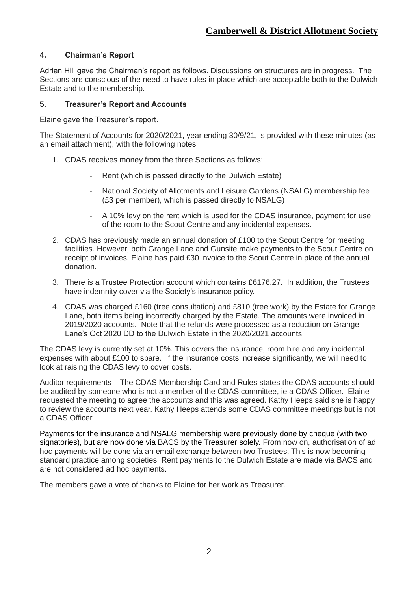## **4. Chairman's Report**

Adrian Hill gave the Chairman's report as follows. Discussions on structures are in progress. The Sections are conscious of the need to have rules in place which are acceptable both to the Dulwich Estate and to the membership.

#### **5. Treasurer's Report and Accounts**

Elaine gave the Treasurer's report.

The Statement of Accounts for 2020/2021, year ending 30/9/21, is provided with these minutes (as an email attachment), with the following notes:

- 1. CDAS receives money from the three Sections as follows:
	- Rent (which is passed directly to the Dulwich Estate)
	- National Society of Allotments and Leisure Gardens (NSALG) membership fee (£3 per member), which is passed directly to NSALG)
	- A 10% levy on the rent which is used for the CDAS insurance, payment for use of the room to the Scout Centre and any incidental expenses.
- 2. CDAS has previously made an annual donation of £100 to the Scout Centre for meeting facilities. However, both Grange Lane and Gunsite make payments to the Scout Centre on receipt of invoices. Elaine has paid £30 invoice to the Scout Centre in place of the annual donation.
- 3. There is a Trustee Protection account which contains £6176.27. In addition, the Trustees have indemnity cover via the Society's insurance policy.
- 4. CDAS was charged £160 (tree consultation) and £810 (tree work) by the Estate for Grange Lane, both items being incorrectly charged by the Estate. The amounts were invoiced in 2019/2020 accounts. Note that the refunds were processed as a reduction on Grange Lane's Oct 2020 DD to the Dulwich Estate in the 2020/2021 accounts.

The CDAS levy is currently set at 10%. This covers the insurance, room hire and any incidental expenses with about £100 to spare. If the insurance costs increase significantly, we will need to look at raising the CDAS levy to cover costs.

Auditor requirements – The CDAS Membership Card and Rules states the CDAS accounts should be audited by someone who is not a member of the CDAS committee, ie a CDAS Officer. Elaine requested the meeting to agree the accounts and this was agreed. Kathy Heeps said she is happy to review the accounts next year. Kathy Heeps attends some CDAS committee meetings but is not a CDAS Officer.

Payments for the insurance and NSALG membership were previously done by cheque (with two signatories), but are now done via BACS by the Treasurer solely. From now on, authorisation of ad hoc payments will be done via an email exchange between two Trustees. This is now becoming standard practice among societies. Rent payments to the Dulwich Estate are made via BACS and are not considered ad hoc payments.

The members gave a vote of thanks to Elaine for her work as Treasurer.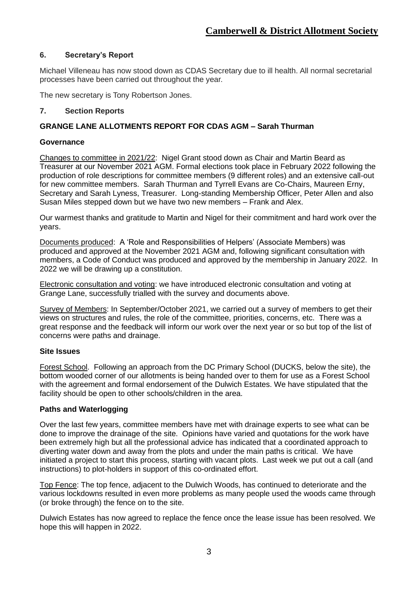## **6. Secretary's Report**

Michael Villeneau has now stood down as CDAS Secretary due to ill health. All normal secretarial processes have been carried out throughout the year.

The new secretary is Tony Robertson Jones.

### **7. Section Reports**

## **GRANGE LANE ALLOTMENTS REPORT FOR CDAS AGM – Sarah Thurman**

#### **Governance**

Changes to committee in 2021/22: Nigel Grant stood down as Chair and Martin Beard as Treasurer at our November 2021 AGM. Formal elections took place in February 2022 following the production of role descriptions for committee members (9 different roles) and an extensive call-out for new committee members. Sarah Thurman and Tyrrell Evans are Co-Chairs, Maureen Erny, Secretary and Sarah Lyness, Treasurer. Long-standing Membership Officer, Peter Allen and also Susan Miles stepped down but we have two new members – Frank and Alex.

Our warmest thanks and gratitude to Martin and Nigel for their commitment and hard work over the years.

Documents produced: A 'Role and Responsibilities of Helpers' (Associate Members) was produced and approved at the November 2021 AGM and, following significant consultation with members, a Code of Conduct was produced and approved by the membership in January 2022. In 2022 we will be drawing up a constitution.

Electronic consultation and voting: we have introduced electronic consultation and voting at Grange Lane, successfully trialled with the survey and documents above.

Survey of Members: In September/October 2021, we carried out a survey of members to get their views on structures and rules, the role of the committee, priorities, concerns, etc. There was a great response and the feedback will inform our work over the next year or so but top of the list of concerns were paths and drainage.

#### **Site Issues**

Forest School. Following an approach from the DC Primary School (DUCKS, below the site), the bottom wooded corner of our allotments is being handed over to them for use as a Forest School with the agreement and formal endorsement of the Dulwich Estates. We have stipulated that the facility should be open to other schools/children in the area.

#### **Paths and Waterlogging**

Over the last few years, committee members have met with drainage experts to see what can be done to improve the drainage of the site. Opinions have varied and quotations for the work have been extremely high but all the professional advice has indicated that a coordinated approach to diverting water down and away from the plots and under the main paths is critical. We have initiated a project to start this process, starting with vacant plots. Last week we put out a call (and instructions) to plot-holders in support of this co-ordinated effort.

Top Fence: The top fence, adjacent to the Dulwich Woods, has continued to deteriorate and the various lockdowns resulted in even more problems as many people used the woods came through (or broke through) the fence on to the site.

Dulwich Estates has now agreed to replace the fence once the lease issue has been resolved. We hope this will happen in 2022.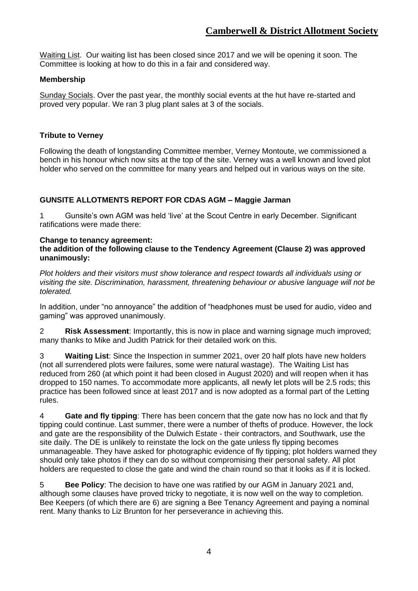Waiting List. Our waiting list has been closed since 2017 and we will be opening it soon. The Committee is looking at how to do this in a fair and considered way.

## **Membership**

Sunday Socials. Over the past year, the monthly social events at the hut have re-started and proved very popular. We ran 3 plug plant sales at 3 of the socials.

### **Tribute to Verney**

Following the death of longstanding Committee member, Verney Montoute, we commissioned a bench in his honour which now sits at the top of the site. Verney was a well known and loved plot holder who served on the committee for many years and helped out in various ways on the site.

## **GUNSITE ALLOTMENTS REPORT FOR CDAS AGM – Maggie Jarman**

1 Gunsite's own AGM was held 'live' at the Scout Centre in early December. Significant ratifications were made there:

#### **Change to tenancy agreement:**

#### **the addition of the following clause to the Tendency Agreement (Clause 2) was approved unanimously:**

*Plot holders and their visitors must show tolerance and respect towards all individuals using or visiting the site. Discrimination, harassment, threatening behaviour or abusive language will not be tolerated.* 

In addition, under "no annoyance" the addition of "headphones must be used for audio, video and gaming" was approved unanimously.

2 **Risk Assessment**: Importantly, this is now in place and warning signage much improved; many thanks to Mike and Judith Patrick for their detailed work on this.

3 **Waiting List**: Since the Inspection in summer 2021, over 20 half plots have new holders (not all surrendered plots were failures, some were natural wastage). The Waiting List has reduced from 260 (at which point it had been closed in August 2020) and will reopen when it has dropped to 150 names. To accommodate more applicants, all newly let plots will be 2.5 rods; this practice has been followed since at least 2017 and is now adopted as a formal part of the Letting rules.

4 **Gate and fly tipping**: There has been concern that the gate now has no lock and that fly tipping could continue. Last summer, there were a number of thefts of produce. However, the lock and gate are the responsibility of the Dulwich Estate - their contractors, and Southwark, use the site daily. The DE is unlikely to reinstate the lock on the gate unless fly tipping becomes unmanageable. They have asked for photographic evidence of fly tipping; plot holders warned they should only take photos if they can do so without compromising their personal safety. All plot holders are requested to close the gate and wind the chain round so that it looks as if it is locked.

5 **Bee Policy**: The decision to have one was ratified by our AGM in January 2021 and, although some clauses have proved tricky to negotiate, it is now well on the way to completion. Bee Keepers (of which there are 6) are signing a Bee Tenancy Agreement and paying a nominal rent. Many thanks to Liz Brunton for her perseverance in achieving this.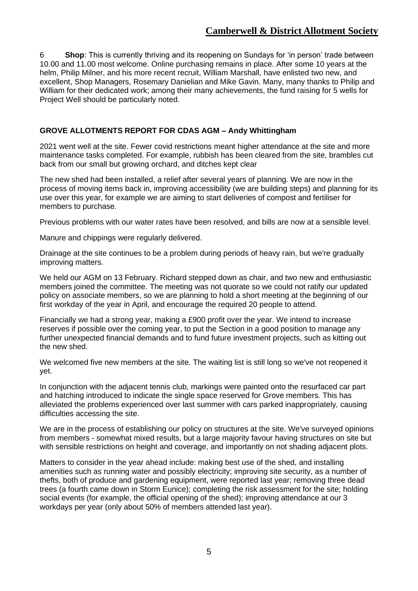## **Camberwell & District Allotment Society**

6 **Shop**: This is currently thriving and its reopening on Sundays for 'in person' trade between 10.00 and 11.00 most welcome. Online purchasing remains in place. After some 10 years at the helm, Philip Milner, and his more recent recruit, William Marshall, have enlisted two new, and excellent, Shop Managers, Rosemary Danielian and Mike Gavin. Many, many thanks to Philip and William for their dedicated work; among their many achievements, the fund raising for 5 wells for Project Well should be particularly noted.

#### **GROVE ALLOTMENTS REPORT FOR CDAS AGM – Andy Whittingham**

2021 went well at the site. Fewer covid restrictions meant higher attendance at the site and more maintenance tasks completed. For example, rubbish has been cleared from the site, brambles cut back from our small but growing orchard, and ditches kept clear

The new shed had been installed, a relief after several years of planning. We are now in the process of moving items back in, improving accessibility (we are building steps) and planning for its use over this year, for example we are aiming to start deliveries of compost and fertiliser for members to purchase.

Previous problems with our water rates have been resolved, and bills are now at a sensible level.

Manure and chippings were regularly delivered.

Drainage at the site continues to be a problem during periods of heavy rain, but we're gradually improving matters.

We held our AGM on 13 February. Richard stepped down as chair, and two new and enthusiastic members joined the committee. The meeting was not quorate so we could not ratify our updated policy on associate members, so we are planning to hold a short meeting at the beginning of our first workday of the year in April, and encourage the required 20 people to attend.

Financially we had a strong year, making a £900 profit over the year. We intend to increase reserves if possible over the coming year, to put the Section in a good position to manage any further unexpected financial demands and to fund future investment projects, such as kitting out the new shed.

We welcomed five new members at the site. The waiting list is still long so we've not reopened it yet.

In conjunction with the adjacent tennis club, markings were painted onto the resurfaced car part and hatching introduced to indicate the single space reserved for Grove members. This has alleviated the problems experienced over last summer with cars parked inappropriately, causing difficulties accessing the site.

We are in the process of establishing our policy on structures at the site. We've surveyed opinions from members - somewhat mixed results, but a large majority favour having structures on site but with sensible restrictions on height and coverage, and importantly on not shading adjacent plots.

Matters to consider in the year ahead include: making best use of the shed, and installing amenities such as running water and possibly electricity; improving site security, as a number of thefts, both of produce and gardening equipment, were reported last year; removing three dead trees (a fourth came down in Storm Eunice); completing the risk assessment for the site; holding social events (for example, the official opening of the shed); improving attendance at our 3 workdays per year (only about 50% of members attended last year).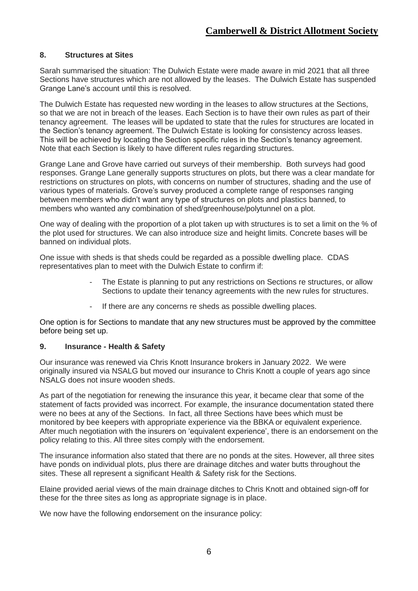#### **8. Structures at Sites**

Sarah summarised the situation: The Dulwich Estate were made aware in mid 2021 that all three Sections have structures which are not allowed by the leases. The Dulwich Estate has suspended Grange Lane's account until this is resolved.

The Dulwich Estate has requested new wording in the leases to allow structures at the Sections, so that we are not in breach of the leases. Each Section is to have their own rules as part of their tenancy agreement. The leases will be updated to state that the rules for structures are located in the Section's tenancy agreement. The Dulwich Estate is looking for consistency across leases. This will be achieved by locating the Section specific rules in the Section's tenancy agreement. Note that each Section is likely to have different rules regarding structures.

Grange Lane and Grove have carried out surveys of their membership. Both surveys had good responses. Grange Lane generally supports structures on plots, but there was a clear mandate for restrictions on structures on plots, with concerns on number of structures, shading and the use of various types of materials. Grove's survey produced a complete range of responses ranging between members who didn't want any type of structures on plots and plastics banned, to members who wanted any combination of shed/greenhouse/polytunnel on a plot.

One way of dealing with the proportion of a plot taken up with structures is to set a limit on the % of the plot used for structures. We can also introduce size and height limits. Concrete bases will be banned on individual plots.

One issue with sheds is that sheds could be regarded as a possible dwelling place. CDAS representatives plan to meet with the Dulwich Estate to confirm if:

- The Estate is planning to put any restrictions on Sections re structures, or allow Sections to update their tenancy agreements with the new rules for structures.
- If there are any concerns re sheds as possible dwelling places.

One option is for Sections to mandate that any new structures must be approved by the committee before being set up.

#### **9. Insurance - Health & Safety**

Our insurance was renewed via Chris Knott Insurance brokers in January 2022. We were originally insured via NSALG but moved our insurance to Chris Knott a couple of years ago since NSALG does not insure wooden sheds.

As part of the negotiation for renewing the insurance this year, it became clear that some of the statement of facts provided was incorrect. For example, the insurance documentation stated there were no bees at any of the Sections. In fact, all three Sections have bees which must be monitored by bee keepers with appropriate experience via the BBKA or equivalent experience. After much negotiation with the insurers on 'equivalent experience', there is an endorsement on the policy relating to this. All three sites comply with the endorsement.

The insurance information also stated that there are no ponds at the sites. However, all three sites have ponds on individual plots, plus there are drainage ditches and water butts throughout the sites. These all represent a significant Health & Safety risk for the Sections.

Elaine provided aerial views of the main drainage ditches to Chris Knott and obtained sign-off for these for the three sites as long as appropriate signage is in place.

We now have the following endorsement on the insurance policy: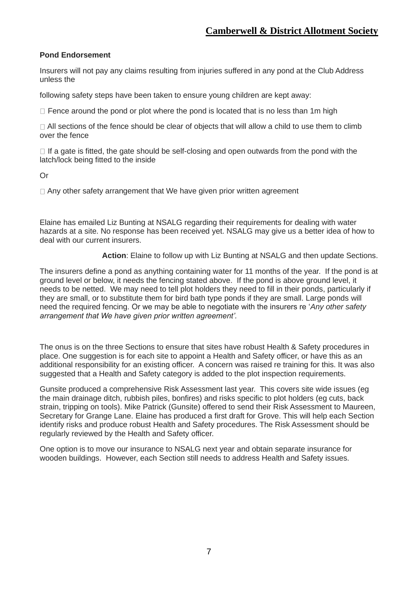#### **Pond Endorsement**

Insurers will not pay any claims resulting from injuries suffered in any pond at the Club Address unless the

following safety steps have been taken to ensure young children are kept away:

 $\Box$  Fence around the pond or plot where the pond is located that is no less than 1m high

 $\Box$  All sections of the fence should be clear of objects that will allow a child to use them to climb over the fence

 $\Box$  If a gate is fitted, the gate should be self-closing and open outwards from the pond with the latch/lock being fitted to the inside

Or

 $\Box$  Any other safety arrangement that We have given prior written agreement

Elaine has emailed Liz Bunting at NSALG regarding their requirements for dealing with water hazards at a site. No response has been received yet. NSALG may give us a better idea of how to deal with our current insurers.

**Action**: Elaine to follow up with Liz Bunting at NSALG and then update Sections.

The insurers define a pond as anything containing water for 11 months of the year. If the pond is at ground level or below, it needs the fencing stated above. If the pond is above ground level, it needs to be netted. We may need to tell plot holders they need to fill in their ponds, particularly if they are small, or to substitute them for bird bath type ponds if they are small. Large ponds will need the required fencing. Or we may be able to negotiate with the insurers re '*Any other safety arrangement that We have given prior written agreement'.*

The onus is on the three Sections to ensure that sites have robust Health & Safety procedures in place. One suggestion is for each site to appoint a Health and Safety officer, or have this as an additional responsibility for an existing officer. A concern was raised re training for this. It was also suggested that a Health and Safety category is added to the plot inspection requirements.

Gunsite produced a comprehensive Risk Assessment last year. This covers site wide issues (eg the main drainage ditch, rubbish piles, bonfires) and risks specific to plot holders (eg cuts, back strain, tripping on tools). Mike Patrick (Gunsite) offered to send their Risk Assessment to Maureen, Secretary for Grange Lane. Elaine has produced a first draft for Grove. This will help each Section identify risks and produce robust Health and Safety procedures. The Risk Assessment should be regularly reviewed by the Health and Safety officer.

One option is to move our insurance to NSALG next year and obtain separate insurance for wooden buildings. However, each Section still needs to address Health and Safety issues.